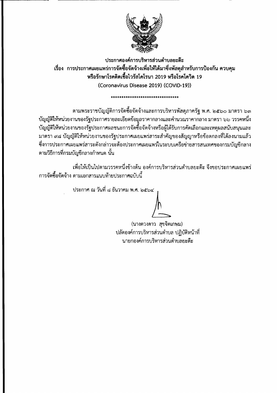

ประกาศองค์การบริหารส่วนตำบลยะต๊ะ เรื่อง การประกาศเผยแพร่การจัดซื้อจัดจ้างเพื่อให้ได้มาซึ่งพัสดุสำหรับการป้องกัน ควบคุม หรือรักษาโรคติดเชื้อไวรัสโคโรนา 2019 หรือโรคโควิด 19 (Coronavirus Disease 2019) (COVID-19))

\*\*\*\*\*\*\*\*\*\*\*\*\*\*\*\*\*\*\*\*\*\*\*\*

ี่ ตามพระราชบัญญัติการจัดซื้อจัดจ้างและการบริหารพัสดุภาครัฐ พ.ศ. ๒๕๖๐ มาตรา ๖๓ บัญญัติให้หน่วยงานของรัฐประกาศรายละเอียดข้อมูลราคากลางและคำนวณราคากลาง มาตรา ๖๖ วรรคหนึ่ง บัญญัติให้หน่วยงานของรัฐประกาศผลชนะการจัดซื้อจัดจ้างหรือผู้ได้รับการคัดเลือกและเหตุผลสนับสนุนและ มาตรา ๙๘ บัญญัติให้หน่วยงานของรัฐประกาศเผยแพร่สาระสำคัญของสัญญาหรือข้อตกลงที่ได้ลงนามแล้ว ชึ่งการประกาศเผยแพร่สาระดังกล่าวจะต้องประกาศเผยแพร่ในระบบเครือข่ายสารสนเทศของกรมบัญชีกลาง ตามวิธีการที่กรมบัญชีกลางกำหนด นั้น

เพื่อให้เป็นไปตามวรรคหนึ่งข้างต้น องค์การบริหารส่วนตำบลยะต๊ะ จึงขอประกาศเผยแพร่ ึการจัดซื้อจัดจ้าง ตามเอกสารแนบท้ายประกาศฉบับนี้

ประกาศ ณ วันที่ ๘ ธันวาคม พ.ศ. ๒๕๖๔

(นางดวงดาว สุขจิตเกษม) ปลัดองค์การบริหารส่วนตำบล ปฏิบัติหน้าที่ นายกองค์การบริหารส่วนตำบลยะต๊ะ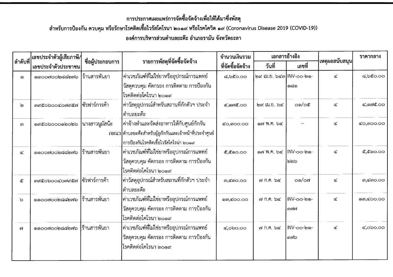## การประกาศเผยแพร่การจัดซื้อจัดจ้างเพื่อให้ได้มาซึ่งพัสดุ

สำหรับการป้องกัน ควบคุม หรือรักษาโรคติดเชื้อไวรัสโคโรนา ๒๐๑๙ หรือโรคโควิด ๑๙ (Coronavirus Disease 2019 (COVID-19))

้องค์การบริหารส่วนตำบลยะต๊ะ อำเภอรามัน จังหวัดยะลา

| ลำดับที่ | เลขประจำตัวผู้เสียภาษี/ | ชื่อผู้ประกอบการ | รายการพัสดุที่จัดซื้อจัดจ้าง                             | จำนวนเงินรวม<br>ที่จัดซื้อจัดจ้าง | เอกสารอ้างอิง           |               |                  | ราคากลาง               |
|----------|-------------------------|------------------|----------------------------------------------------------|-----------------------------------|-------------------------|---------------|------------------|------------------------|
|          | เลขประจำตัวประชาชน      |                  |                                                          |                                   | วันที่                  | เลขที่        | ่ เหตุผลสนับสนุน |                        |
| ෧        | ෧෧෮෮෨෮෮෧෪෫෧෧            | ร้านสารพันยา     | ค่าเวชภัณฑ์ที่ไม่ใช่ยาหรืออุปกรณ์การแพทย์                | ಡ,๖๕೦.೦೦                          | ๒๙ เม.ย. ๖๔๓ INV-๐๐-๒๑- |               | ๔                | ಡ,៦๕೦.೦೦               |
|          |                         |                  | วัสดุควบคุม คัดกรอง การติดตาม การป้องกัน                 |                                   |                         | ෧෬෧           |                  |                        |
|          |                         |                  | โรคติดต่อโคโรนา ๒๐๑๙                                     |                                   |                         |               |                  |                        |
| စြ       | ต๙๕๐๖๐๐๔๐๗๙๕๗           | ซัรฟาร์การค้า    | ค่าวัสดุอุปกรณ์สำหรับสถานที่กักตัวฯ ประจำ                | $C,$ ond $C$ .00                  | ๒๙ เม.ย. ๖๔             | ഠ෧/ഠ๕         | $\propto$        | ๔,๑๗๕.๐๐               |
|          |                         |                  | ตำบลยะต๊ะ                                                |                                   |                         |               |                  |                        |
| ണ        | ෧๙๕෮๖෮෮෮෧ඁෳ෮෧           | ุนางสาวนูมัสนัะ  | ค่าจ้างทำและจัดส่งอาหารให้กับศูนย์กักกัน                 | <b>๔๐,๓๐๐.๐๐</b>                  | ด๗ พ.ค. ๖๔              |               | ๔.               | <b>¢o,</b> moo.oo      |
|          |                         |                  | เจะแว ตำบลยะต๊ะสำหรับผู้ถูกักกันและเจ้าหน้าที่ประจำศูนย์ |                                   |                         |               |                  |                        |
|          |                         |                  | การป้องกันโรคติดเชื้อไวรัสโคโรน่า ๒๐๑๙                   |                                   |                         |               |                  |                        |
| ๔        | ෧෧෮෮෨෮෮෧෫෫෧෧෧           | ร้านสารพันยา     | ค่าเวชภัณฑ์ที่ไม่ใช่ยาหรืออุปกรณ์การแพทย์                | ๕,๕๑๐.๐๐                          | ด๗ พ.ค. ๖๔              | INV-oo-๒๑-    | ھ                | ๕,๕๑๐.๐๐               |
|          |                         |                  | วัสดุควบคุม คัดกรอง การติดตาม การป้องกัน                 |                                   |                         | ๒๒๖           |                  |                        |
|          |                         |                  | โรคติดต่อโคโรนา ๒๐๑๙                                     |                                   |                         |               |                  |                        |
| ๕        | ต๙๕๐๖๐๐๔๐๗๙๕๗           | ซัรฟาร์การค้า    | ค่าวัสดุอุปกรณ์สำหรับสถานที่กักตัวฯ ประจำ                | $m, \leq m$ $O$ . $OO$            | ๗ ก.ค. ๖๔               | ഠ෧/ഠ๗         | ๔                | $m, \leq m$ $O$ . $OO$ |
|          |                         |                  | ตำบลยะต๊ะ                                                |                                   |                         |               |                  |                        |
| ৯        | ෧෧෮෮෨෮෮෧෬෬෨෦෫           | ร้านสารพันยา     | ่ค่าเวชภัณฑ์ที่ไม่ใช่ยาหรืออุปกรณ์การแพทย์               | ளை, <b>c</b> oo.oo                | ๗ ก.ค. ๖๔               | INV-00-๒๑-    | ๔                | ดต,๔๐๐.๐๐              |
|          |                         |                  | วัสดุควบคุม คัดกรอง การติดตาม การป้องกัน                 |                                   |                         | <i>କାର୍ବା</i> |                  |                        |
|          |                         |                  | โรคติดต่อโคโรนา ๒๐๑๙                                     |                                   |                         |               |                  |                        |
| ബ്       | ෧෧෮෮෨෮෮෧෪෫෧෧            | ร้านสารพันยา     | ่ค่าเวชภัณฑ์ที่ไม่ใช่ยาหรืออุปกรณ์การแพทย์               | $\alpha$ ,000.00                  | ๗ ก.ค. ๖๔               | INV-oo-๒๑-    | ๔                | $\alpha$ ,000.00       |
|          |                         |                  | วัสดุควบคุม คัดกรอง การติดตาม การป้องกัน                 |                                   |                         | ດຫລ           |                  |                        |
|          |                         |                  | โรคติดต่อโคโรนา ๒๐๑๙                                     |                                   |                         |               |                  |                        |
|          |                         |                  |                                                          |                                   |                         |               |                  |                        |